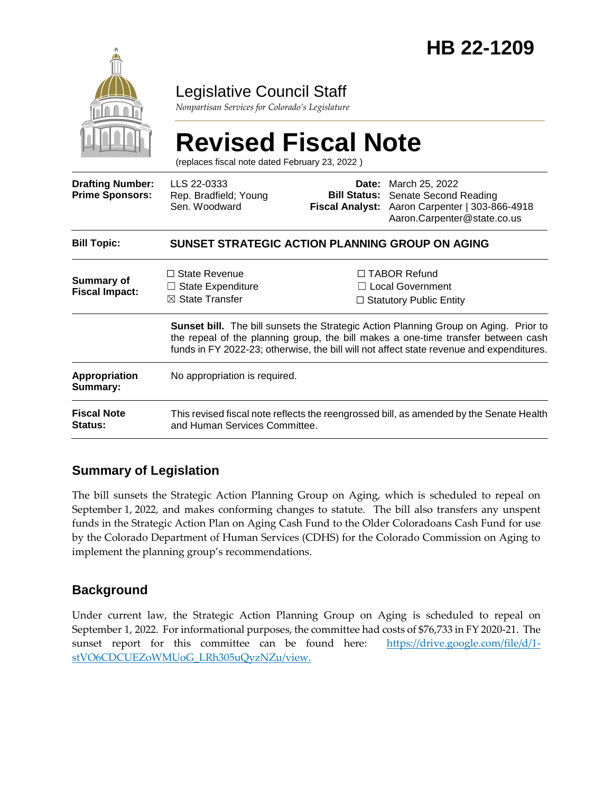

# Legislative Council Staff

*Nonpartisan Services for Colorado's Legislature*

# **Revised Fiscal Note**

(replaces fiscal note dated February 23, 2022 )

| <b>Drafting Number:</b><br><b>Prime Sponsors:</b> | LLS 22-0333<br>Rep. Bradfield; Young<br>Sen. Woodward                                                                                                                                                                                                                        | Date: | March 25, 2022<br><b>Bill Status:</b> Senate Second Reading<br>Fiscal Analyst: Aaron Carpenter   303-866-4918<br>Aaron.Carpenter@state.co.us |
|---------------------------------------------------|------------------------------------------------------------------------------------------------------------------------------------------------------------------------------------------------------------------------------------------------------------------------------|-------|----------------------------------------------------------------------------------------------------------------------------------------------|
| <b>Bill Topic:</b>                                | SUNSET STRATEGIC ACTION PLANNING GROUP ON AGING                                                                                                                                                                                                                              |       |                                                                                                                                              |
| <b>Summary of</b><br><b>Fiscal Impact:</b>        | $\Box$ State Revenue<br>State Expenditure<br>$\boxtimes$ State Transfer                                                                                                                                                                                                      |       | $\Box$ TABOR Refund<br>$\Box$ Local Government<br>$\Box$ Statutory Public Entity                                                             |
|                                                   | <b>Sunset bill.</b> The bill sunsets the Strategic Action Planning Group on Aging. Prior to<br>the repeal of the planning group, the bill makes a one-time transfer between cash<br>funds in FY 2022-23; otherwise, the bill will not affect state revenue and expenditures. |       |                                                                                                                                              |
| <b>Appropriation</b><br>Summary:                  | No appropriation is required.                                                                                                                                                                                                                                                |       |                                                                                                                                              |
| <b>Fiscal Note</b><br><b>Status:</b>              | This revised fiscal note reflects the reengrossed bill, as amended by the Senate Health<br>and Human Services Committee.                                                                                                                                                     |       |                                                                                                                                              |

## **Summary of Legislation**

The bill sunsets the Strategic Action Planning Group on Aging, which is scheduled to repeal on September 1, 2022, and makes conforming changes to statute. The bill also transfers any unspent funds in the Strategic Action Plan on Aging Cash Fund to the Older Coloradoans Cash Fund for use by the Colorado Department of Human Services (CDHS) for the Colorado Commission on Aging to implement the planning group's recommendations.

## **Background**

Under current law, the Strategic Action Planning Group on Aging is scheduled to repeal on September 1, 2022. For informational purposes, the committee had costs of \$76,733 in FY 2020-21. The sunset report for this committee can be found here: [https://drive.google.com/file/d/1](https://drive.google.com/file/d/1-stVO6CDCUEZoWMUoG_LRh305uQyzNZu/view) [stVO6CDCUEZoWMUoG\\_LRh305uQyzNZu/view.](https://drive.google.com/file/d/1-stVO6CDCUEZoWMUoG_LRh305uQyzNZu/view)